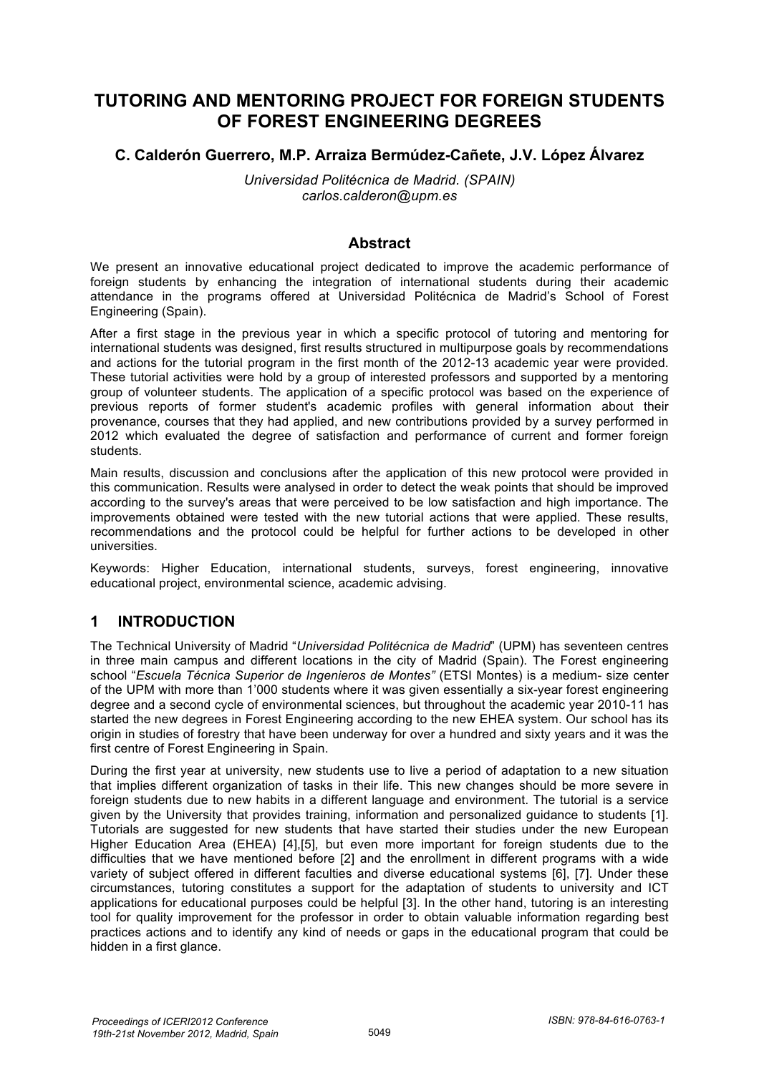# **TUTORING AND MENTORING PROJECT FOR FOREIGN STUDENTS OF FOREST ENGINEERING DEGREES**

## **C. Calderón Guerrero, M.P. Arraiza Bermúdez-Cañete, J.V. López Álvarez**

*Universidad Politécnica de Madrid. (SPAIN) carlos.calderon@upm.es* 

#### **Abstract**

We present an innovative educational project dedicated to improve the academic performance of foreign students by enhancing the integration of international students during their academic attendance in the programs offered at Universidad Politécnica de Madrid's School of Forest Engineering (Spain).

After a first stage in the previous year in which a specific protocol of tutoring and mentoring for international students was designed, first results structured in multipurpose goals by recommendations and actions for the tutorial program in the first month of the 2012-13 academic year were provided. These tutorial activities were hold by a group of interested professors and supported by a mentoring group of volunteer students. The application of a specific protocol was based on the experience of previous reports of former student's academic profiles with general information about their provenance, courses that they had applied, and new contributions provided by a survey performed in 2012 which evaluated the degree of satisfaction and performance of current and former foreign students.

Main results, discussion and conclusions after the application of this new protocol were provided in this communication. Results were analysed in order to detect the weak points that should be improved according to the survey's areas that were perceived to be low satisfaction and high importance. The improvements obtained were tested with the new tutorial actions that were applied. These results, recommendations and the protocol could be helpful for further actions to be developed in other universities.

Keywords: Higher Education, international students, surveys, forest engineering, innovative educational project, environmental science, academic advising.

## **1 INTRODUCTION**

The Technical University of Madrid "*Universidad Politécnica de Madrid*" (UPM) has seventeen centres in three main campus and different locations in the city of Madrid (Spain). The Forest engineering school "*Escuela Técnica Superior de Ingenieros de Montes"* (ETSI Montes) is a medium- size center of the UPM with more than 1'000 students where it was given essentially a six-year forest engineering degree and a second cycle of environmental sciences, but throughout the academic year 2010-11 has started the new degrees in Forest Engineering according to the new EHEA system. Our school has its origin in studies of forestry that have been underway for over a hundred and sixty years and it was the first centre of Forest Engineering in Spain.

During the first year at university, new students use to live a period of adaptation to a new situation that implies different organization of tasks in their life. This new changes should be more severe in foreign students due to new habits in a different language and environment. The tutorial is a service given by the University that provides training, information and personalized guidance to students [1]. Tutorials are suggested for new students that have started their studies under the new European Higher Education Area (EHEA) [4],[5], but even more important for foreign students due to the difficulties that we have mentioned before [2] and the enrollment in different programs with a wide variety of subject offered in different faculties and diverse educational systems [6], [7]. Under these circumstances, tutoring constitutes a support for the adaptation of students to university and ICT applications for educational purposes could be helpful [3]. In the other hand, tutoring is an interesting tool for quality improvement for the professor in order to obtain valuable information regarding best practices actions and to identify any kind of needs or gaps in the educational program that could be hidden in a first glance.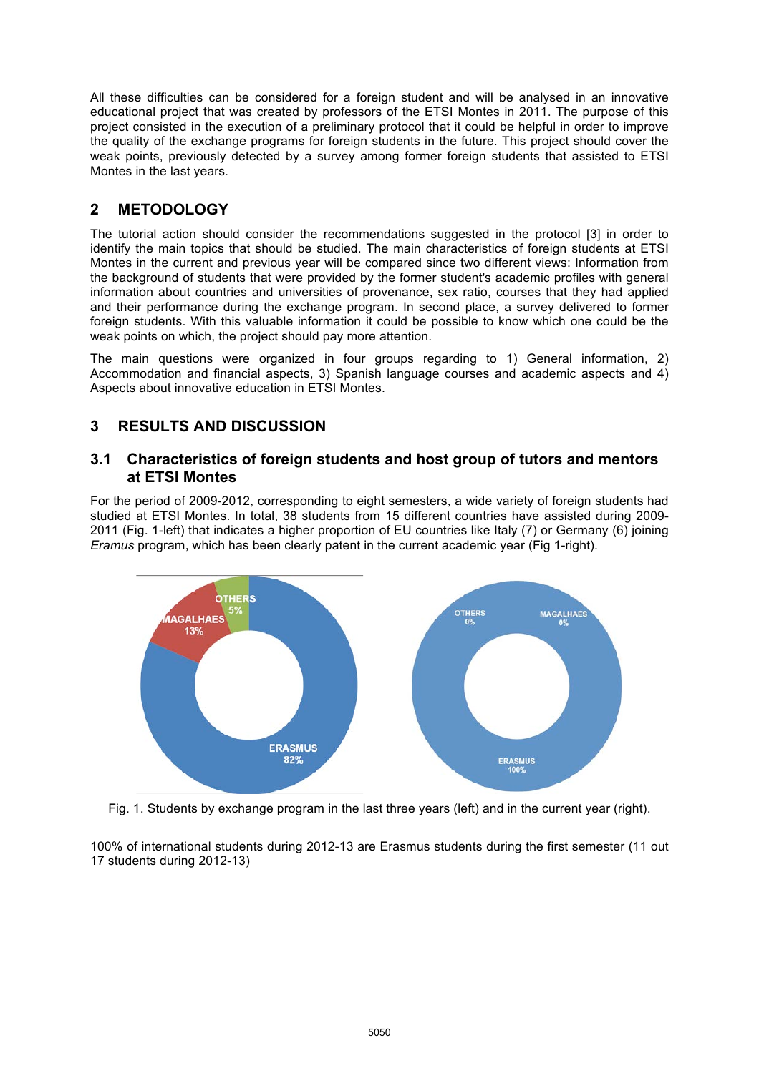All these difficulties can be considered for a foreign student and will be analysed in an innovative educational project that was created by professors of the ETSI Montes in 2011. The purpose of this project consisted in the execution of a preliminary protocol that it could be helpful in order to improve the quality of the exchange programs for foreign students in the future. This project should cover the weak points, previously detected by a survey among former foreign students that assisted to ETSI Montes in the last years.

# **2 METODOLOGY**

The tutorial action should consider the recommendations suggested in the protocol [3] in order to identify the main topics that should be studied. The main characteristics of foreign students at ETSI Montes in the current and previous year will be compared since two different views: Information from the background of students that were provided by the former student's academic profiles with general information about countries and universities of provenance, sex ratio, courses that they had applied and their performance during the exchange program. In second place, a survey delivered to former foreign students. With this valuable information it could be possible to know which one could be the weak points on which, the project should pay more attention.

The main questions were organized in four groups regarding to 1) General information, 2) Accommodation and financial aspects, 3) Spanish language courses and academic aspects and 4) Aspects about innovative education in ETSI Montes.

# **3 RESULTS AND DISCUSSION**

#### **3.1 Characteristics of foreign students and host group of tutors and mentors at ETSI Montes**

For the period of 2009-2012, corresponding to eight semesters, a wide variety of foreign students had studied at ETSI Montes. In total, 38 students from 15 different countries have assisted during 2009- 2011 (Fig. 1-left) that indicates a higher proportion of EU countries like Italy (7) or Germany (6) joining *Eramus* program, which has been clearly patent in the current academic year (Fig 1-right).



Fig. 1. Students by exchange program in the last three years (left) and in the current year (right).

100% of international students during 2012-13 are Erasmus students during the first semester (11 out 17 students during 2012-13)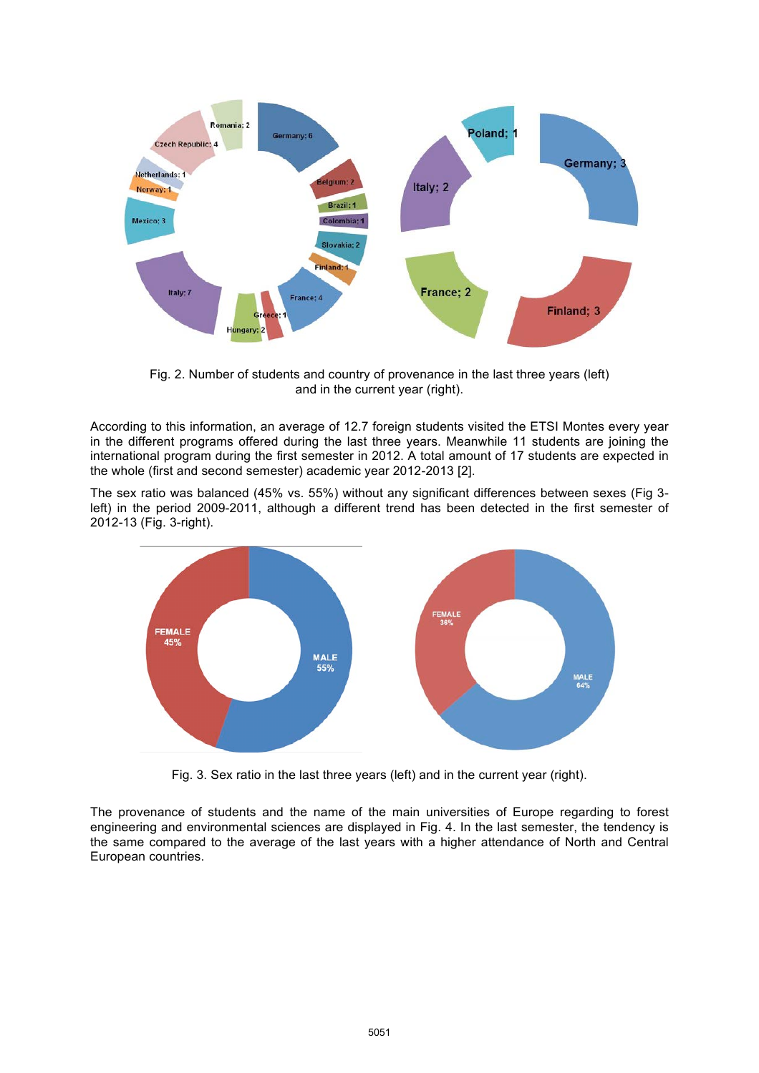

Fig. 2. Number of students and country of provenance in the last three years (left) and in the current year (right).

According to this information, an average of 12.7 foreign students visited the ETSI Montes every year in the different programs offered during the last three years. Meanwhile 11 students are joining the international program during the first semester in 2012. A total amount of 17 students are expected in the whole (first and second semester) academic year 2012-2013 [2].

The sex ratio was balanced (45% vs. 55%) without any significant differences between sexes (Fig 3 left) in the period 2009-2011, although a different trend has been detected in the first semester of 2012-13 (Fig. 3-right).



Fig. 3. Sex ratio in the last three years (left) and in the current year (right).

The provenance of students and the name of the main universities of Europe regarding to forest engineering and environmental sciences are displayed in Fig. 4. In the last semester, the tendency is the same compared to the average of the last years with a higher attendance of North and Central European countries.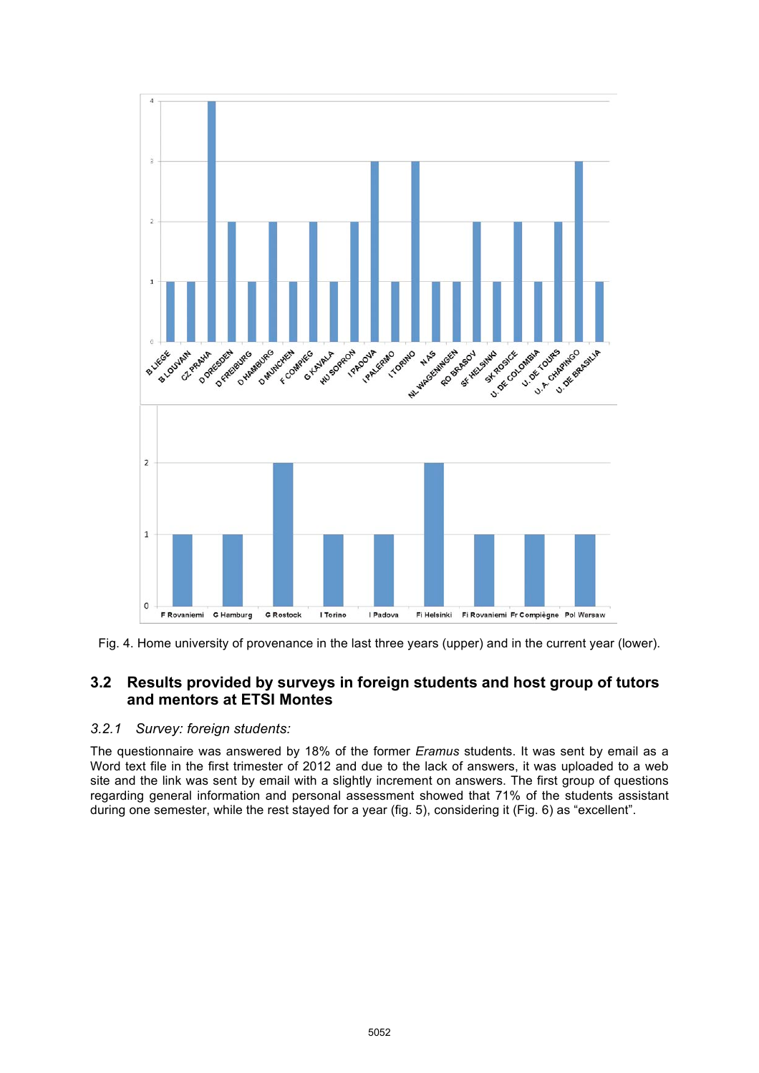



## **3.2 Results provided by surveys in foreign students and host group of tutors and mentors at ETSI Montes**

#### *3.2.1 Survey: foreign students:*

The questionnaire was answered by 18% of the former *Eramus* students. It was sent by email as a Word text file in the first trimester of 2012 and due to the lack of answers, it was uploaded to a web site and the link was sent by email with a slightly increment on answers. The first group of questions regarding general information and personal assessment showed that 71% of the students assistant during one semester, while the rest stayed for a year (fig. 5), considering it (Fig. 6) as "excellent".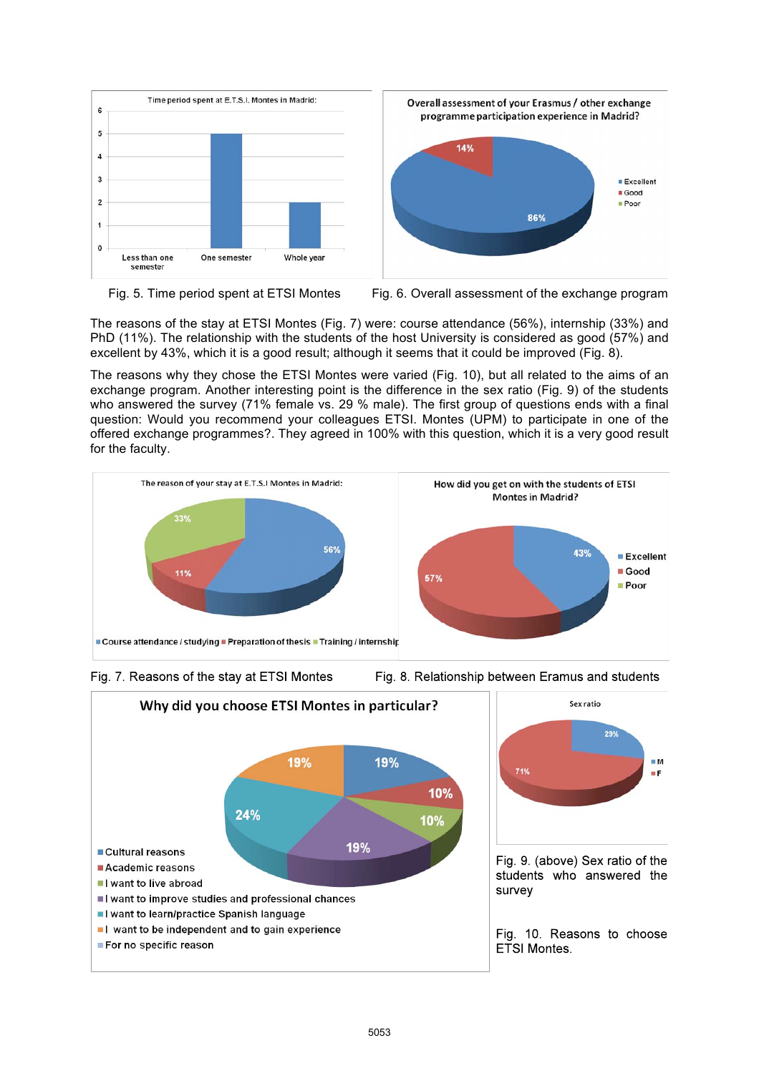





The reasons of the stay at ETSI Montes (Fig. 7) were: course attendance (56%), internship (33%) and PhD (11%). The relationship with the students of the host University is considered as good (57%) and excellent by 43%, which it is a good result; although it seems that it could be improved (Fig. 8).

The reasons why they chose the ETSI Montes were varied (Fig. 10), but all related to the aims of an exchange program. Another interesting point is the difference in the sex ratio (Fig. 9) of the students who answered the survey (71% female vs. 29 % male). The first group of questions ends with a final question: Would you recommend your colleagues ETSI. Montes (UPM) to participate in one of the offered exchange programmes?. They agreed in 100% with this question, which it is a very good result for the faculty.





Fig. 8. Relationship between Eramus and students

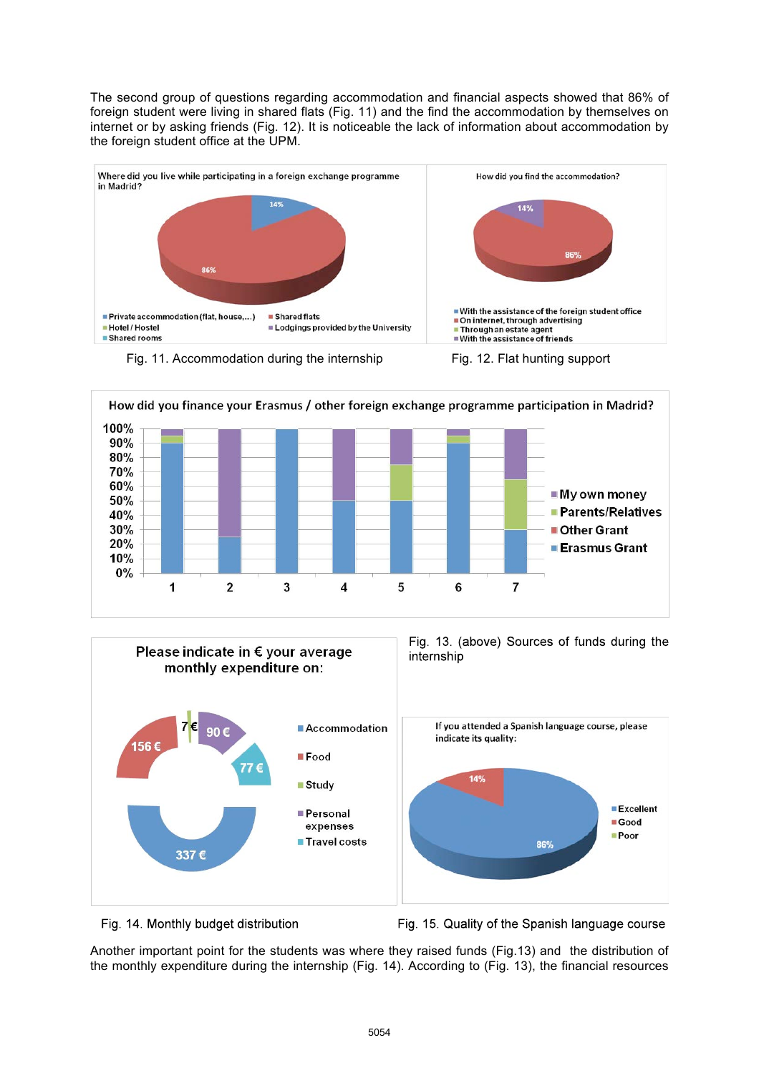The second group of questions regarding accommodation and financial aspects showed that 86% of foreign student were living in shared flats (Fig. 11) and the find the accommodation by themselves on internet or by asking friends (Fig. 12). It is noticeable the lack of information about accommodation by the foreign student office at the UPM.







#### Fig. 14. Monthly budget distribution

Fig. 15. Quality of the Spanish language course

Another important point for the students was where they raised funds (Fig.13) and the distribution of the monthly expenditure during the internship (Fig. 14). According to (Fig. 13), the financial resources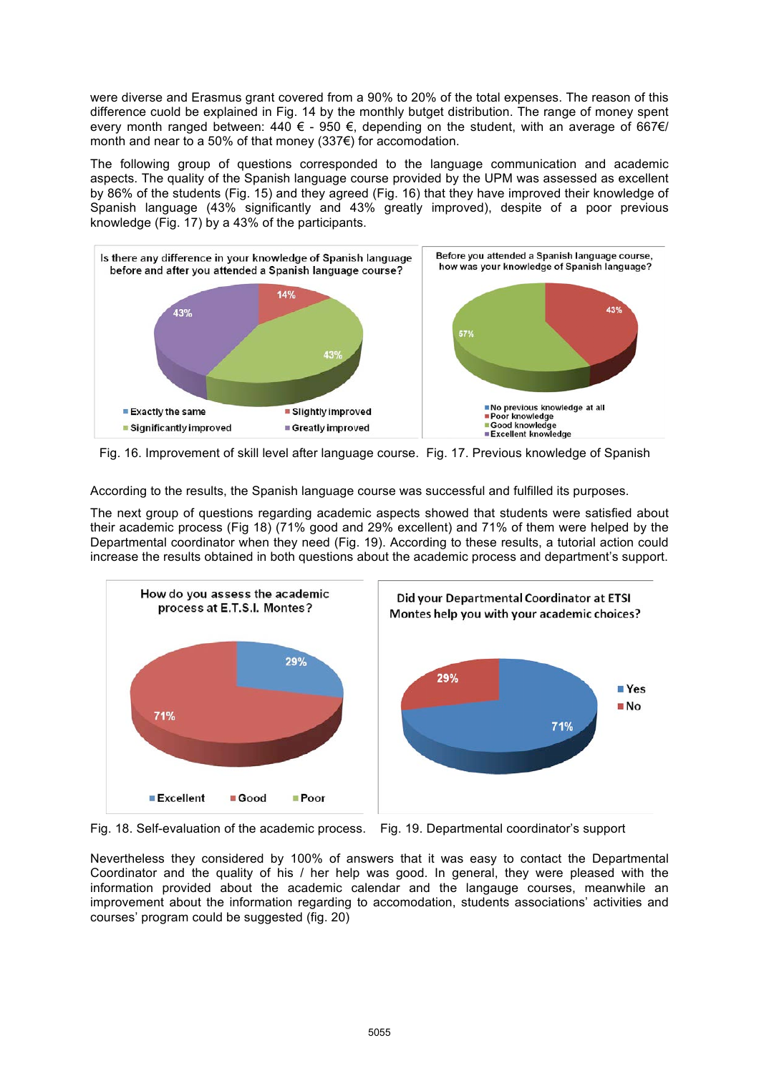were diverse and Erasmus grant covered from a 90% to 20% of the total expenses. The reason of this difference cuold be explained in Fig. 14 by the monthly butget distribution. The range of money spent every month ranged between:  $440 \epsilon - 950 \epsilon$ , depending on the student, with an average of 667 $\epsilon$ / month and near to a 50% of that money (337€) for accomodation.

The following group of questions corresponded to the language communication and academic aspects. The quality of the Spanish language course provided by the UPM was assessed as excellent by 86% of the students (Fig. 15) and they agreed (Fig. 16) that they have improved their knowledge of Spanish language (43% significantly and 43% greatly improved), despite of a poor previous knowledge (Fig. 17) by a 43% of the participants.



Fig. 16. Improvement of skill level after language course. Fig. 17. Previous knowledge of Spanish

According to the results, the Spanish language course was successful and fulfilled its purposes.

The next group of questions regarding academic aspects showed that students were satisfied about their academic process (Fig 18) (71% good and 29% excellent) and 71% of them were helped by the Departmental coordinator when they need (Fig. 19). According to these results, a tutorial action could increase the results obtained in both questions about the academic process and department's support.



Fig. 18. Self-evaluation of the academic process. Fig. 19. Departmental coordinator's support

Nevertheless they considered by 100% of answers that it was easy to contact the Departmental Coordinator and the quality of his / her help was good. In general, they were pleased with the information provided about the academic calendar and the langauge courses, meanwhile an improvement about the information regarding to accomodation, students associations' activities and courses' program could be suggested (fig. 20)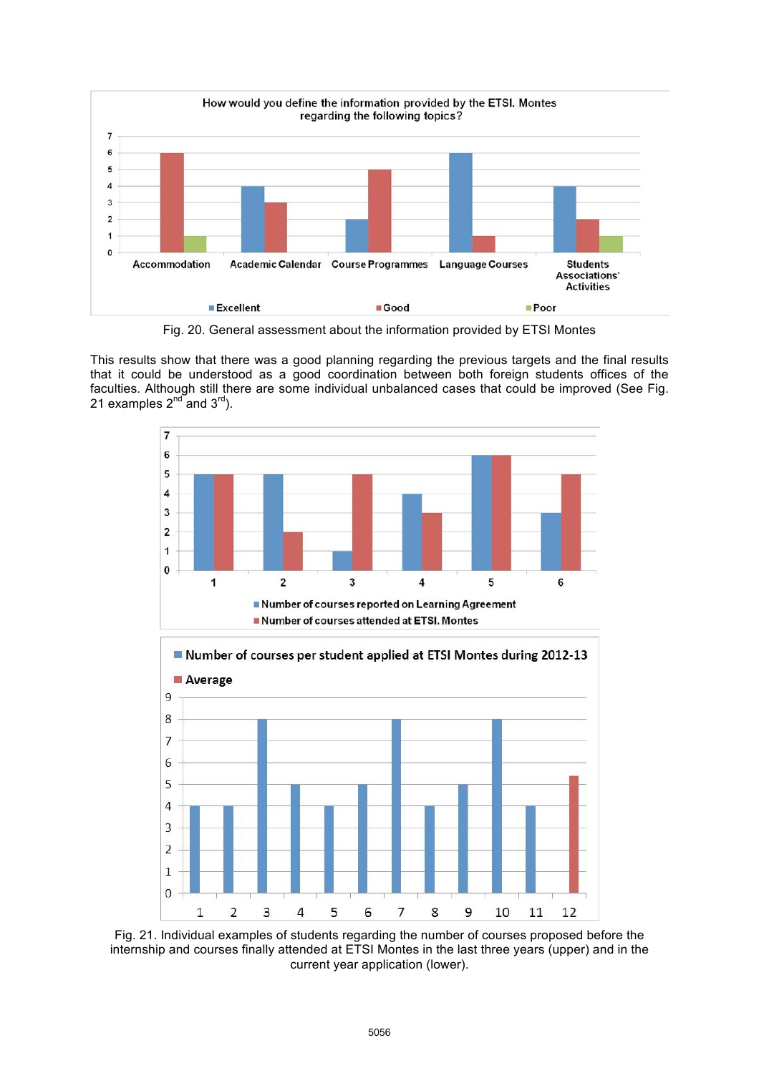

Fig. 20. General assessment about the information provided by ETSI Montes

This results show that there was a good planning regarding the previous targets and the final results that it could be understood as a good coordination between both foreign students offices of the faculties. Although still there are some individual unbalanced cases that could be improved (See Fig. 21 examples  $2^{nd}$  and  $3^{rd}$ ).

![](_page_7_Figure_3.jpeg)

Fig. 21. Individual examples of students regarding the number of courses proposed before the internship and courses finally attended at ETSI Montes in the last three years (upper) and in the current year application (lower).